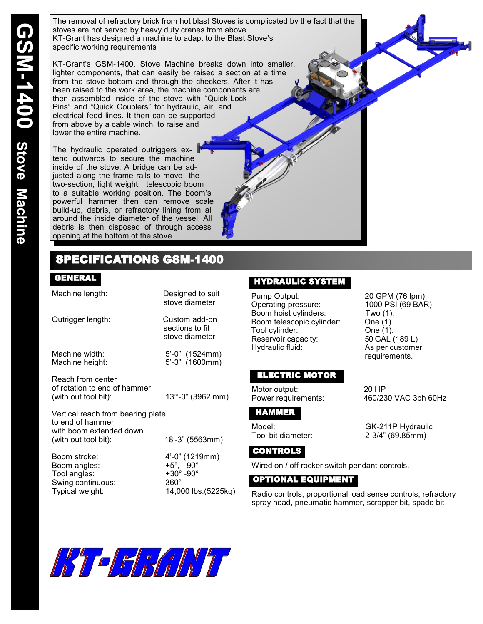The removal of refractory brick from hot blast Stoves is complicated by the fact that the stoves are not served by heavy duty cranes from above. KT-Grant has designed a machine to adapt to the Blast Stove's specific working requirements

KT-Grant's GSM-1400, Stove Machine breaks down into smaller, lighter components, that can easily be raised a section at a time from the stove bottom and through the checkers. After it has been raised to the work area, the machine components are then assembled inside of the stove with "Quick-Lock Pins" and "Quick Couplers" for hydraulic, air, and electrical feed lines. It then can be supported from above by a cable winch, to raise and lower the entire machine.

The hydraulic operated outriggers extend outwards to secure the machine inside of the stove. A bridge can be adjusted along the frame rails to move the two-section, light weight, telescopic boom to a suitable working position. The boom's powerful hammer then can remove scale build-up, debris, or refractory lining from all around the inside diameter of the vessel. All debris is then disposed of through access opening at the bottom of the stove.

# SPECIFICATIONS GSM-1400

#### GENERAL

| Machine length:                                                     | Designed to suit<br>stove diameter                                      | Pump O<br>Operatir<br>Boom ho<br>Boom te<br>Tool cyli<br>Reservo<br>Hydrauli |
|---------------------------------------------------------------------|-------------------------------------------------------------------------|------------------------------------------------------------------------------|
| Outrigger length:                                                   | Custom add-on<br>sections to fit<br>stove diameter                      |                                                                              |
| Machine width:<br>Machine height:                                   | $5'-0''$ (1524mm)<br>$5'-3''$ (1600mm)                                  |                                                                              |
| Reach from center                                                   |                                                                         | ELEC                                                                         |
| of rotation to end of hammer<br>(with out tool bit):                | 13"'-0" (3962 mm)                                                       | Motor or<br>Power re                                                         |
| Vertical reach from bearing plate                                   | <b>HAMN</b>                                                             |                                                                              |
| to end of hammer<br>with boom extended down<br>(with out tool bit): | 18'-3" (5563mm)                                                         | Model:<br>Tool bit                                                           |
| Boom stroke:                                                        | $4'-0''$ (1219mm)                                                       | <b>CONTI</b>                                                                 |
| Boom angles:<br>Tool angles:<br>Swing continuous:                   | $+5^{\circ}$ , $-90^{\circ}$<br>$+30^\circ$ -90 $^\circ$<br>$360^\circ$ | Wired or                                                                     |
|                                                                     |                                                                         | <b>OPTIO</b>                                                                 |
| Typical weight:                                                     | 14,000 lbs.(5225kg)                                                     | Radio co                                                                     |

# HYDRAULIC SYSTEM

oist cylinders: Two (1). elescopic cylinder: One (1).  $\blacksquare$  Tool cone (1).  $\text{Dir capacity:}$  50 GAL (189 L)

# TRIC MOTOR

utput: 20 HP

#### HAMMER

# ROLS

n / off rocker switch pendant controls.

# **NAL EQUIPMENT**

Radio controls, proportional load sense controls, refractory spray head, pneumatic hammer, scrapper bit, spade bit



 $P$ utput:  $20$  GPM (76 lpm) ng pressure: 1000 PSI (69 BAR) ic fluid: As per customer requirements.

equirements: 460/230 VAC 3ph 60Hz

GK-211P Hydraulic diameter: 2-3/4" (69.85mm)